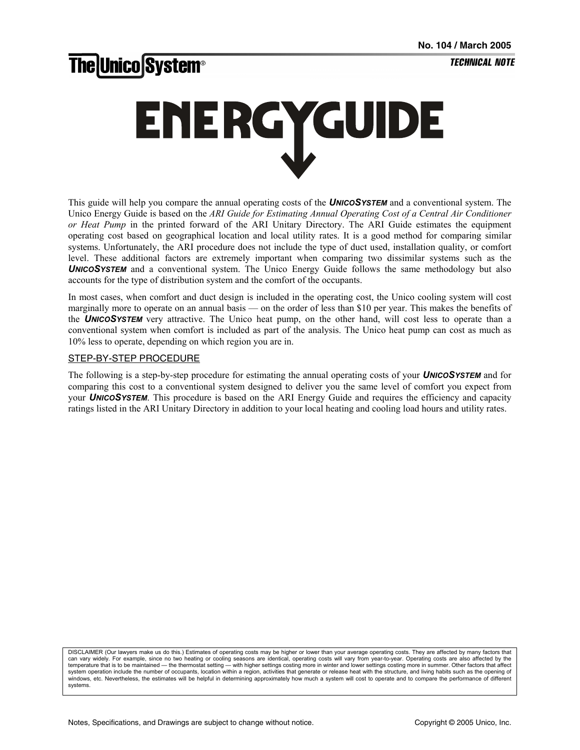# **The Unico System®**

# ENERGYGUIDE

This guide will help you compare the annual operating costs of the *UNICOSYSTEM* and a conventional system. The Unico Energy Guide is based on the *ARI Guide for Estimating Annual Operating Cost of a Central Air Conditioner or Heat Pump* in the printed forward of the ARI Unitary Directory. The ARI Guide estimates the equipment operating cost based on geographical location and local utility rates. It is a good method for comparing similar systems. Unfortunately, the ARI procedure does not include the type of duct used, installation quality, or comfort level. These additional factors are extremely important when comparing two dissimilar systems such as the **UNICOSYSTEM** and a conventional system. The Unico Energy Guide follows the same methodology but also accounts for the type of distribution system and the comfort of the occupants.

In most cases, when comfort and duct design is included in the operating cost, the Unico cooling system will cost marginally more to operate on an annual basis — on the order of less than \$10 per year. This makes the benefits of the *UNICOSYSTEM* very attractive. The Unico heat pump, on the other hand, will cost less to operate than a conventional system when comfort is included as part of the analysis. The Unico heat pump can cost as much as 10% less to operate, depending on which region you are in.

#### STEP-BY-STEP PROCEDURE

The following is a step-by-step procedure for estimating the annual operating costs of your *UNICOSYSTEM* and for comparing this cost to a conventional system designed to deliver you the same level of comfort you expect from your *UNICOSYSTEM*. This procedure is based on the ARI Energy Guide and requires the efficiency and capacity ratings listed in the ARI Unitary Directory in addition to your local heating and cooling load hours and utility rates.

DISCLAIMER (Our lawyers make us do this.) Estimates of operating costs may be higher or lower than your average operating costs. They are affected by many factors that can vary widely. For example, since no two heating or cooling seasons are identical, operating costs will vary from year-to-year. Operating costs are also affected by the temperature that is to be maintained — the thermostat setting — with higher settings costing more in winter and lower settings costing more in summer. Other factors that affect system operation include the number of occupants, location within a region, activities that generate or release heat with the structure, and living habits such as the opening of windows, etc. Nevertheless, the estimates will be helpful in determining approximately how much a system will cost to operate and to compare the performance of different systems.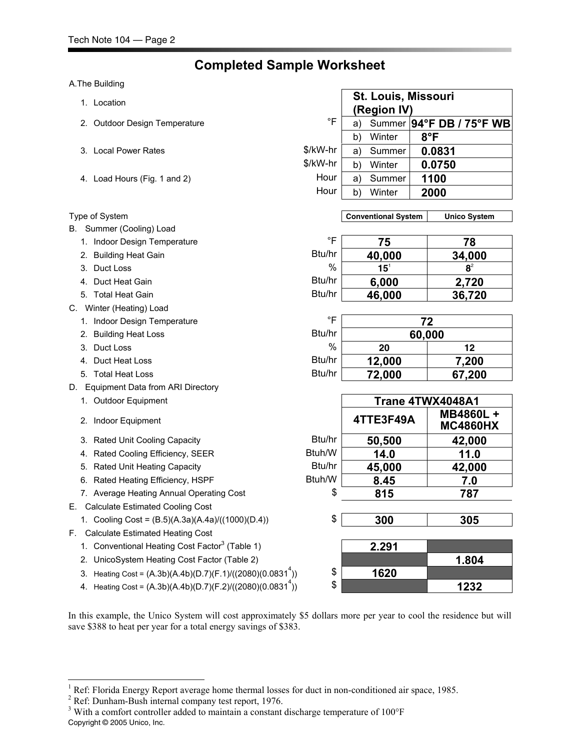## **Completed Sample Worksheet**

#### A.The Building

- 
- 2. Outdoor Design Temperature
- 3. Local Power Rates
- 4. Load Hours (Fig. 1 and 2)

#### **Type of System**

- B. Summer (Cooling) Load
	- 1. Indoor Design Temperature
	- 2. Building Heat Gain
	- 3. Duct Loss
	- 4. Duct Heat Gain
	- 5. Total Heat Gain
- C. Winter (Heating) Load
	- 1. Indoor Design Temperature
	- 2. Building Heat Loss
	-
	- 4. Duct Heat Loss
	- 5. Total Heat Loss
- D. Equipment Data from ARI Directory
	- 1. Outdoor Equipment
	- 2. Indoor Equipment
	- 3. Rated Unit Cooling Capacity
	- 4. Rated Cooling Efficiency, SEER
	- 5. Rated Unit Heating Capacity
	- 6. Rated Heating Efficiency, HSPF
	- 7. Average Heating Annual Operating Cost
- E. Calculate Estimated Cooling Cost
	- 1. Cooling Cost = (B.5)(A.3a)(A.4a)/((1000)(D.4)) \$ **300 305**
- F. Calculate Estimated Heating Cost

 $\overline{\phantom{a}}$ 

- 1. Conventional Heating Cost Factor<sup>3</sup> (Table 1) **2.291** 
	- 2. UnicoSystem Heating Cost Factor (Table 2) **1.804**
	- 3. Heating Cost =  $(A.3b)(A.4b)(D.7)(F.1)/((2080)(0.0831<sup>4</sup>))$
	- 4. Heating Cost =  $(A.3b)(A.4b)(D.7)(F.2)/((2080)(0.0831<sup>4</sup>))$

| 1. Location                                                  |               |    | St. Louis, Missouri<br>(Region IV) |        |                              |
|--------------------------------------------------------------|---------------|----|------------------------------------|--------|------------------------------|
| 2. Outdoor Design Temperature                                | $\circ$ F     | a) |                                    |        | Summer  94°F DB / 75°F WB    |
|                                                              |               | b) | Winter                             |        | $8^{\circ}$ F                |
| 3. Local Power Rates                                         | \$/kW-hr      | a) | Summer                             |        | 0.0831                       |
|                                                              | \$/kW-hr      | b) | Winter                             |        | 0.0750                       |
| 4. Load Hours (Fig. 1 and 2)                                 | Hour          | a) | Summer                             |        | 1100                         |
|                                                              | Hour          | b) | Winter                             |        | 2000                         |
|                                                              |               |    |                                    |        |                              |
| Type of System                                               |               |    | <b>Conventional System</b>         |        | <b>Unico System</b>          |
| B. Summer (Cooling) Load                                     |               |    |                                    |        |                              |
| 1. Indoor Design Temperature                                 | °F            |    | 75                                 |        | 78                           |
| 2. Building Heat Gain                                        | Btu/hr        |    | 40,000                             |        | 34,000                       |
| 3. Duct Loss                                                 | $\frac{0}{0}$ |    | 15 <sup>1</sup>                    |        | $\mathbf{8}^2$               |
| 4. Duct Heat Gain                                            | Btu/hr        |    | 6,000                              |        | 2,720                        |
| 5. Total Heat Gain                                           | Btu/hr        |    | 46,000                             |        | 36,720                       |
| C. Winter (Heating) Load                                     |               |    |                                    |        |                              |
| 1. Indoor Design Temperature                                 | $\circ$ F     |    |                                    | 72     |                              |
| 2. Building Heat Loss                                        | Btu/hr        |    |                                    | 60,000 |                              |
| 3. Duct Loss                                                 | $\%$          |    | 20                                 |        | 12                           |
| 4. Duct Heat Loss                                            | Btu/hr        |    | 12,000                             |        | 7,200                        |
| 5. Total Heat Loss                                           | Btu/hr        |    | 72,000                             |        | 67,200                       |
| D. Equipment Data from ARI Directory                         |               |    |                                    |        |                              |
| 1. Outdoor Equipment                                         |               |    |                                    |        | Trane 4TWX4048A1             |
| 2. Indoor Equipment                                          |               |    | 4TTE3F49A                          |        | MB4860L +<br><b>MC4860HX</b> |
| 3. Rated Unit Cooling Capacity                               | Btu/hr        |    | 50,500                             |        | 42,000                       |
| 4. Rated Cooling Efficiency, SEER                            | Btuh/W        |    | 14.0                               |        | 11.0                         |
| 5. Rated Unit Heating Capacity                               | Btu/hr        |    | 45,000                             |        | 42,000                       |
| 6. Rated Heating Efficiency, HSPF                            | Btuh/W        |    | 8.45                               |        | 7.0                          |
| 7. Average Heating Annual Operating Cost                     | \$            |    | 815                                |        | 787                          |
| E. Calculate Estimated Cooling Cost                          |               |    |                                    |        |                              |
| 1. Cooling Cost = (B.5)(A.3a)(A.4a)/((1000)(D.4))            | \$            |    | 300                                |        | 305                          |
| F. Calculate Estimated Heating Cost                          |               |    |                                    |        |                              |
| 1. Conventional Heating Cost Factor <sup>3</sup> (Table 1)   |               |    | 2.291                              |        |                              |
| 2. UnicoSystem Heating Cost Factor (Table 2)                 |               |    |                                    |        | 1.804                        |
| 3. Heating Cost = $(A.3b)(A.4b)(D.7)(F.1)/((2080)(0.08314))$ | \$            |    | 1620                               |        |                              |

)) \$ **1232**

In this example, the Unico System will cost approximately \$5 dollars more per year to cool the residence but will save \$388 to heat per year for a total energy savings of \$383.

<sup>2</sup> Ref: Dunham-Bush internal company test report, 1976.

<sup>1</sup> Ref: Florida Energy Report average home thermal losses for duct in non-conditioned air space, 1985.

Copyright © 2005 Unico, Inc. <sup>3</sup> With a comfort controller added to maintain a constant discharge temperature of 100°F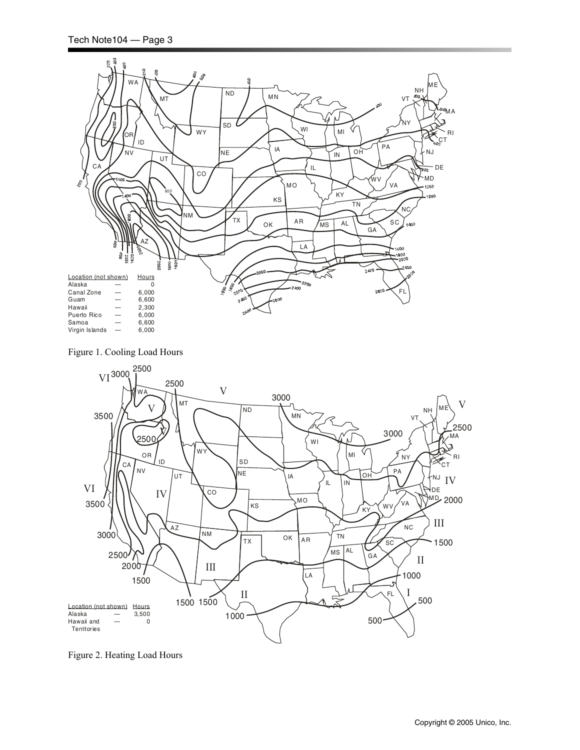

Figure 1. Cooling Load Hours



Figure 2. Heating Load Hours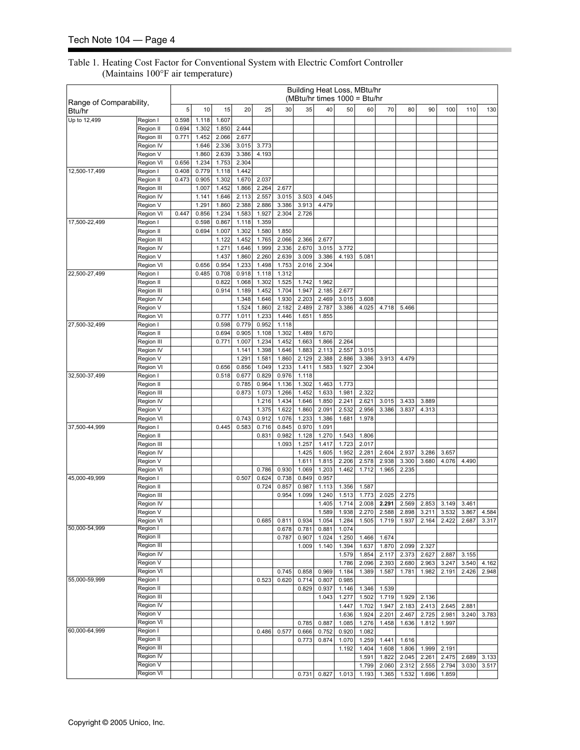#### Table 1. Heating Cost Factor for Conventional System with Electric Comfort Controller (Maintains 100°F air temperature)

|                                   |                         |       |                |                |                |                |                | Building Heat Loss, MBtu/hr<br>(MBtu/hr times $1000 = Btu/hr$ |                |                |                |                |                |                |                |                |                |
|-----------------------------------|-------------------------|-------|----------------|----------------|----------------|----------------|----------------|---------------------------------------------------------------|----------------|----------------|----------------|----------------|----------------|----------------|----------------|----------------|----------------|
| Range of Comparability,<br>Btu/hr |                         | 5     | 10             | 15             | 20             | 25             | 30             | 35                                                            | 40             | 50             | 60             | 70             | 80             | 90             | 100            | 110            | 130            |
| Up to 12,499                      | Region I                | 0.598 | 1.118          | 1.607          |                |                |                |                                                               |                |                |                |                |                |                |                |                |                |
|                                   | Region II               | 0.694 | 1.302          | 1.850          | 2.444          |                |                |                                                               |                |                |                |                |                |                |                |                |                |
|                                   | Region III              | 0.771 | 1.452          | 2.066          | 2.677          |                |                |                                                               |                |                |                |                |                |                |                |                |                |
|                                   | Region IV<br>Region V   |       | 1.646<br>1.860 | 2.336<br>2.639 | 3.015<br>3.386 | 3.773<br>4.193 |                |                                                               |                |                |                |                |                |                |                |                |                |
|                                   | Region VI               | 0.656 | 1.234          | 1.753          | 2.304          |                |                |                                                               |                |                |                |                |                |                |                |                |                |
| 12,500-17,499                     | Region I                | 0.408 | 0.779          | 1.118          | 1.442          |                |                |                                                               |                |                |                |                |                |                |                |                |                |
|                                   | Region II               | 0.473 | 0.905          | 1.302          | 1.670          | 2.037          |                |                                                               |                |                |                |                |                |                |                |                |                |
|                                   | Region III              |       | 1.007          | 1.452          | 1.866          | 2.264          | 2.677          |                                                               |                |                |                |                |                |                |                |                |                |
|                                   | Region IV               |       | 1.141          | 1.646          | 2.113          | 2.557          | 3.015          | 3.503                                                         | 4.045          |                |                |                |                |                |                |                |                |
|                                   | Region V<br>Region VI   | 0.447 | 1.291          | 1.860          | 2.388          | 2.886          | 3.386          | 3.913                                                         | 4.479          |                |                |                |                |                |                |                |                |
| 17,500-22,499                     | Region I                |       | 0.856<br>0.598 | 1.234<br>0.867 | 1.583<br>1.118 | 1.927<br>1.359 | 2.304          | 2.726                                                         |                |                |                |                |                |                |                |                |                |
|                                   | Region II               |       | 0.694          | 1.007          | 1.302          | 1.580          | 1.850          |                                                               |                |                |                |                |                |                |                |                |                |
|                                   | Region III              |       |                | 1.122          | 1.452          | 1.765          | 2.066          | 2.366                                                         | 2.677          |                |                |                |                |                |                |                |                |
|                                   | Region IV               |       |                | 1.271          | 1.646          | 1.999          | 2.336          | 2.670                                                         | 3.015          | 3.772          |                |                |                |                |                |                |                |
|                                   | Region V                |       |                | 1.437          | 1.860          | 2.260          | 2.639          | 3.009                                                         | 3.386          | 4.193          | 5.081          |                |                |                |                |                |                |
|                                   | Region VI               |       | 0.656          | 0.954          | 1.233          | 1.498          | 1.753          | 2.016                                                         | 2.304          |                |                |                |                |                |                |                |                |
| 22,500-27,499                     | Region I                |       | 0.485          | 0.708          | 0.918          | 1.118          | 1.312          |                                                               |                |                |                |                |                |                |                |                |                |
|                                   | Region II               |       |                | 0.822          | 1.068          | 1.302          | 1.525          | 1.742                                                         | 1.962          |                |                |                |                |                |                |                |                |
|                                   | Region III<br>Region IV |       |                | 0.914          | 1.189<br>1.348 | 1.452<br>1.646 | 1.704<br>1.930 | 1.947<br>2.203                                                | 2.185<br>2.469 | 2.677<br>3.015 | 3.608          |                |                |                |                |                |                |
|                                   | Region V                |       |                |                | 1.524          | 1.860          | 2.182          | 2.489                                                         | 2.787          | 3.386          | 4.025          | 4.718          | 5.466          |                |                |                |                |
|                                   | Region VI               |       |                | 0.777          | 1.011          | 1.233          | 1.446          | 1.651                                                         | 1.855          |                |                |                |                |                |                |                |                |
| 27,500-32,499                     | Region I                |       |                | 0.598          | 0.779          | 0.952          | 1.118          |                                                               |                |                |                |                |                |                |                |                |                |
|                                   | Region II               |       |                | 0.694          | 0.905          | 1.108          | 1.302          | 1.489                                                         | 1.670          |                |                |                |                |                |                |                |                |
|                                   | Region III              |       |                | 0.771          | 1.007          | 1.234          | 1.452          | 1.663                                                         | 1.866          | 2.264          |                |                |                |                |                |                |                |
|                                   | Region IV               |       |                |                | 1.141          | 1.398          | 1.646          | 1.883                                                         | 2.113          | 2.557          | 3.015          |                |                |                |                |                |                |
|                                   | Region V                |       |                |                | 1.291          | 1.581          | 1.860          | 2.129                                                         | 2.388          | 2.886          | 3.386          | 3.913          | 4.479          |                |                |                |                |
| 32,500-37,499                     | Region VI<br>Region I   |       |                | 0.656<br>0.518 | 0.856<br>0.677 | 1.049<br>0.829 | 1.233<br>0.976 | 1.411<br>1.118                                                | 1.583          | 1.927          | 2.304          |                |                |                |                |                |                |
|                                   | Region II               |       |                |                | 0.785          | 0.964          | 1.136          | 1.302                                                         | 1.463          | 1.773          |                |                |                |                |                |                |                |
|                                   | Region III              |       |                |                | 0.873          | 1.073          | 1.266          | 1.452                                                         | 1.633          | 1.981          | 2.322          |                |                |                |                |                |                |
|                                   | Region IV               |       |                |                |                | 1.216          | 1.434          | 1.646                                                         | 1.850          | 2.241          | 2.621          | 3.015          | 3.433          | 3.889          |                |                |                |
|                                   | Region V                |       |                |                |                | 1.375          | 1.622          | 1.860                                                         | 2.091          | 2.532          | 2.956          | 3.386          | 3.837          | 4.313          |                |                |                |
|                                   | Region VI               |       |                |                | 0.743          | 0.912          | 1.076          | 1.233                                                         | 1.386          | 1.681          | 1.978          |                |                |                |                |                |                |
| 37,500-44,999                     | Region I                |       |                | 0.445          | 0.583          | 0.716          | 0.845          | 0.970                                                         | 1.091          |                |                |                |                |                |                |                |                |
|                                   | Region II               |       |                |                |                | 0.831          | 0.982          | 1.128                                                         | 1.270          | 1.543          | 1.806          |                |                |                |                |                |                |
|                                   | Region III<br>Region IV |       |                |                |                |                | 1.093          | 1.257<br>1.425                                                | 1.417<br>1.605 | 1.723<br>1.952 | 2.017<br>2.281 | 2.604          | 2.937          | 3.286          | 3.657          |                |                |
|                                   | Region V                |       |                |                |                |                |                | 1.611                                                         | 1.815          | 2.206          | 2.578          | 2.938          | 3.300          | 3.680          | 4.076          | 4.490          |                |
|                                   | Region VI               |       |                |                |                | 0.786          | 0.930          | 1.069                                                         | 1.203          | 1.462          | 1.712          | 1.965          | 2.235          |                |                |                |                |
| 45,000-49,999                     | Region I                |       |                |                | 0.507          | 0.624          | 0.738          | 0.849                                                         | 0.957          |                |                |                |                |                |                |                |                |
|                                   | Region II               |       |                |                |                | 0.724          | 0.857          | 0.987                                                         | 1.113          | 1.356          | 1.587          |                |                |                |                |                |                |
|                                   | Region III              |       |                |                |                |                | 0.954          | 1.099                                                         | 1.240          | 1.513          | 1.773          | 2.025          | 2.275          |                |                |                |                |
|                                   | Region IV               |       |                |                |                |                |                |                                                               | 1.405          | 1.714          | 2.008          | 2.291          | 2.569          | 2.853          | 3.149          | 3.461          |                |
|                                   | Region V<br>Region VI   |       |                |                |                | 0.685          |                | 0.934                                                         | 1.589<br>1.054 | 1.938<br>1.284 | 2.270<br>1.505 | 2.588<br>1.719 | 2.898<br>1.937 | 3.211<br>2.164 | 3.532<br>2.422 | 3.867<br>2.687 | 4.584<br>3.317 |
| 50,000-54,999                     | Region I                |       |                |                |                |                | 0.811<br>0.678 | 0.781                                                         | 0.881          | 1.074          |                |                |                |                |                |                |                |
|                                   | Region II               |       |                |                |                |                | 0.787          | 0.907                                                         | 1.024          | 1.250          | 1.466          | 1.674          |                |                |                |                |                |
|                                   | Region III              |       |                |                |                |                |                | 1.009                                                         | 1.140          | 1.394          | 1.637          | 1.870          | 2.099          | 2.327          |                |                |                |
|                                   | Region IV               |       |                |                |                |                |                |                                                               |                | 1.579          | 1.854          | 2.117          | 2.373          | 2.627          | 2.887          | 3.155          |                |
|                                   | Region V                |       |                |                |                |                |                |                                                               |                | 1.786          | 2.096          | 2.393          | 2.680          | 2.963          | 3.247          | 3.540          | 4.162          |
|                                   | Region VI               |       |                |                |                |                | 0.745          | 0.858                                                         | 0.969          | 1.184          | 1.389          | 1.587          | 1.781          | 1.982          | 2.191          | 2.426          | 2.948          |
| 55,000-59,999                     | Region I                |       |                |                |                | 0.523          | 0.620          | 0.714                                                         | 0.807          | 0.985          |                |                |                |                |                |                |                |
|                                   | Region II<br>Region III |       |                |                |                |                |                | 0.829                                                         | 0.937          | 1.146          | 1.346          | 1.539<br>1.719 |                |                |                |                |                |
|                                   | Region IV               |       |                |                |                |                |                |                                                               | 1.043          | 1.277<br>1.447 | 1.502<br>1.702 | 1.947          | 1.929<br>2.183 | 2.136<br>2.413 | 2.645          | 2.881          |                |
|                                   | Region V                |       |                |                |                |                |                |                                                               |                | 1.636          | 1.924          | 2.201          | 2.467          | 2.725          | 2.981          | 3.240          | 3.783          |
|                                   | Region VI               |       |                |                |                |                |                | 0.785                                                         | 0.887          | 1.085          | 1.276          | 1.458          | 1.636          | 1.812          | 1.997          |                |                |
| 60,000-64,999                     | Region I                |       |                |                |                | 0.486          | 0.577          | 0.666                                                         | 0.752          | 0.920          | 1.082          |                |                |                |                |                |                |
|                                   | Region II               |       |                |                |                |                |                | 0.773                                                         | 0.874          | 1.070          | 1.259          | 1.441          | 1.616          |                |                |                |                |
|                                   | Region III              |       |                |                |                |                |                |                                                               |                | 1.192          | 1.404          | 1.608          | 1.806          | 1.999          | 2.191          |                |                |
|                                   | Region IV               |       |                |                |                |                |                |                                                               |                |                | 1.591          | 1.822          | 2.045          | 2.261          | 2.475          | 2.689          | 3.133          |
|                                   | Region V                |       |                |                |                |                |                |                                                               |                |                | 1.799          | 2.060          | 2.312          | 2.555          | 2.794          | 3.030          | 3.517          |
|                                   | Region VI               |       |                |                |                |                |                | 0.731                                                         | 0.827          | 1.013          | 1.193          | 1.365          | 1.532          | 1.696          | 1.859          |                |                |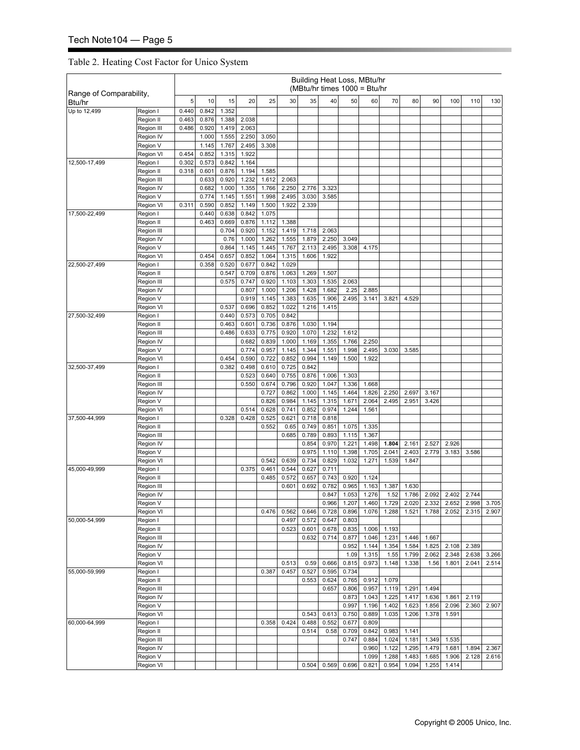#### Table 2. Heating Cost Factor for Unico System

|                                   |                       |                |                |                |                |                |                |                |                | Building Heat Loss, MBtu/hr<br>(MBtu/hr times 1000 = Btu/hr |                |                |                |                |                |       |       |
|-----------------------------------|-----------------------|----------------|----------------|----------------|----------------|----------------|----------------|----------------|----------------|-------------------------------------------------------------|----------------|----------------|----------------|----------------|----------------|-------|-------|
| Range of Comparability,<br>Btu/hr |                       | 5              | 10             | 15             | 20             | 25             | 30             | 35             | 40             | 50                                                          | 60             | 70             | 80             | 90             | 100            | 110   | 130   |
| Up to 12,499                      | Region I              | 0.440          | 0.842          | 1.352          |                |                |                |                |                |                                                             |                |                |                |                |                |       |       |
|                                   | Region II             | 0.463          | 0.876          | 1.388          | 2.038          |                |                |                |                |                                                             |                |                |                |                |                |       |       |
|                                   | Region III            | 0.486          | 0.920          | 1.419          | 2.063          |                |                |                |                |                                                             |                |                |                |                |                |       |       |
|                                   | Region IV             |                | 1.000          | 1.555          | 2.250          | 3.050          |                |                |                |                                                             |                |                |                |                |                |       |       |
|                                   | Region V              |                | 1.145          | 1.767          | 2.495          | 3.308          |                |                |                |                                                             |                |                |                |                |                |       |       |
| 12,500-17,499                     | Region VI<br>Region I | 0.454<br>0.302 | 0.852<br>0.573 | 1.315<br>0.842 | 1.922<br>1.164 |                |                |                |                |                                                             |                |                |                |                |                |       |       |
|                                   | Region II             | 0.318          | 0.601          | 0.876          | 1.194          | 1.585          |                |                |                |                                                             |                |                |                |                |                |       |       |
|                                   | Region III            |                | 0.633          | 0.920          | 1.232          | 1.612          | 2.063          |                |                |                                                             |                |                |                |                |                |       |       |
|                                   | Region IV             |                | 0.682          | 1.000          | 1.355          | 1.766          | 2.250          | 2.776          | 3.323          |                                                             |                |                |                |                |                |       |       |
|                                   | Region V              |                | 0.774          | 1.145          | 1.551          | 1.998          | 2.495          | 3.030          | 3.585          |                                                             |                |                |                |                |                |       |       |
|                                   | Region VI             | 0.311          | 0.590          | 0.852          | 1.149          | 1.500          | 1.922          | 2.339          |                |                                                             |                |                |                |                |                |       |       |
| 17,500-22,499                     | Region I              |                | 0.440          | 0.638          | 0.842          | 1.075          |                |                |                |                                                             |                |                |                |                |                |       |       |
|                                   | Region II             |                | 0.463          | 0.669          | 0.876          | 1.112          | 1.388          |                |                |                                                             |                |                |                |                |                |       |       |
|                                   | Region III            |                |                | 0.704          | 0.920          | 1.152          | 1.419          | 1.718          | 2.063          |                                                             |                |                |                |                |                |       |       |
|                                   | Region IV             |                |                | 0.76           | 1.000          | 1.262          | 1.555          | 1.879          | 2.250          | 3.049                                                       |                |                |                |                |                |       |       |
|                                   | Region V              |                |                | 0.864          | 1.145          | 1.445          | 1.767          | 2.113          | 2.495          | 3.308                                                       | 4.175          |                |                |                |                |       |       |
|                                   | Region VI             |                | 0.454          | 0.657          | 0.852          | 1.064          | 1.315          | 1.606          | 1.922          |                                                             |                |                |                |                |                |       |       |
| 22,500-27,499                     | Region I              |                | 0.358          | 0.520          | 0.677          | 0.842          | 1.029          |                |                |                                                             |                |                |                |                |                |       |       |
|                                   | Region II             |                |                | 0.547          | 0.709          | 0.876          | 1.063          | 1.269          | 1.507          |                                                             |                |                |                |                |                |       |       |
|                                   | Region III            |                |                | 0.575          | 0.747          | 0.920          | 1.103          | 1.303          | 1.535          | 2.063                                                       |                |                |                |                |                |       |       |
|                                   | Region IV             |                |                |                | 0.807          | 1.000          | 1.206          | 1.428          | 1.682          | 2.25                                                        | 2.885          |                |                |                |                |       |       |
|                                   | Region V              |                |                |                | 0.919<br>0.696 | 1.145<br>0.852 | 1.383<br>1.022 | 1.635<br>1.216 | 1.906<br>1.415 | 2.495                                                       | 3.141          | 3.821          | 4.529          |                |                |       |       |
| 27,500-32,499                     | Region VI<br>Region I |                |                | 0.537<br>0.440 | 0.573          | 0.705          | 0.842          |                |                |                                                             |                |                |                |                |                |       |       |
|                                   | Region II             |                |                | 0.463          | 0.601          | 0.736          | 0.876          | 1.030          | 1.194          |                                                             |                |                |                |                |                |       |       |
|                                   | Region III            |                |                | 0.486          | 0.633          | 0.775          | 0.920          | 1.070          | 1.232          | 1.612                                                       |                |                |                |                |                |       |       |
|                                   | Region IV             |                |                |                | 0.682          | 0.839          | 1.000          | 1.169          | 1.355          | 1.766                                                       | 2.250          |                |                |                |                |       |       |
|                                   | Region V              |                |                |                | 0.774          | 0.957          | 1.145          | 1.344          | 1.551          | 1.998                                                       | 2.495          | 3.030          | 3.585          |                |                |       |       |
|                                   | Region VI             |                |                | 0.454          | 0.590          | 0.722          | 0.852          | 0.994          | 1.149          | 1.500                                                       | 1.922          |                |                |                |                |       |       |
| 32,500-37,499                     | Region I              |                |                | 0.382          | 0.498          | 0.610          | 0.725          | 0.842          |                |                                                             |                |                |                |                |                |       |       |
|                                   | Region II             |                |                |                | 0.523          | 0.640          | 0.755          | 0.876          | 1.006          | 1.303                                                       |                |                |                |                |                |       |       |
|                                   | Region III            |                |                |                | 0.550          | 0.674          | 0.796          | 0.920          | 1.047          | 1.336                                                       | 1.668          |                |                |                |                |       |       |
|                                   | Region IV             |                |                |                |                | 0.727          | 0.862          | 1.000          | 1.145          | 1.464                                                       | 1.826          | 2.250          | 2.697          | 3.167          |                |       |       |
|                                   | Region V              |                |                |                |                | 0.826          | 0.984          | 1.145          | 1.315          | 1.671                                                       | 2.064          | 2.495          | 2.951          | 3.426          |                |       |       |
|                                   | Region VI             |                |                |                | 0.514          | 0.628          | 0.741          | 0.852          | 0.974          | 1.244                                                       | 1.561          |                |                |                |                |       |       |
| 37,500-44,999                     | Region I              |                |                | 0.328          | 0.428          | 0.525          | 0.621          | 0.718          | 0.818          |                                                             |                |                |                |                |                |       |       |
|                                   | Region II             |                |                |                |                | 0.552          | 0.65           | 0.749          | 0.851          | 1.075                                                       | 1.335          |                |                |                |                |       |       |
|                                   | Region III            |                |                |                |                |                | 0.685          | 0.789          | 0.893          | 1.115                                                       | 1.367          |                |                |                |                |       |       |
|                                   | Region IV<br>Region V |                |                |                |                |                |                | 0.854          | 0.970          | 1.221                                                       | 1.498          | 1.804          | 2.161          | 2.527          | 2.926          |       |       |
|                                   | Region VI             |                |                |                |                | 0.542          | 0.639          | 0.975<br>0.734 | 1.110<br>0.829 | 1.398<br>1.032                                              | 1.705<br>1.271 | 2.041<br>1.539 | 2.403<br>1.847 | 2.779          | 3.183          | 3.586 |       |
| 45,000-49,999                     | Region I              |                |                |                | 0.375          | 0.461          | 0.544          | 0.627          | 0.711          |                                                             |                |                |                |                |                |       |       |
|                                   | Region II             |                |                |                |                | 0.485          | 0.572          | 0.657          | 0.743          | 0.920                                                       | 1.124          |                |                |                |                |       |       |
|                                   | Region III            |                |                |                |                |                | 0.601          | 0.692          | 0.782          | 0.965                                                       | 1.163          | 1.387          | 1.630          |                |                |       |       |
|                                   | Region IV             |                |                |                |                |                |                |                | 0.847          | 1.053                                                       | 1.276          | 1.52           | 1.786          | 2.092          | 2.402          | 2.744 |       |
|                                   | Region V              |                |                |                |                |                |                |                | 0.966          | 1.207                                                       | 1.460          | 1.729          | 2.020          | 2.332          | 2.652          | 2.998 | 3.705 |
|                                   | Region VI             |                |                |                |                | 0.476          | 0.562          | 0.646          | 0.728          | 0.896                                                       | 1.076          | 1.288          | 1.521          | 1.788          | 2.052          | 2.315 | 2.907 |
| 50,000-54,999                     | Region I              |                |                |                |                |                | 0.497          | 0.572          | 0.647          | 0.803                                                       |                |                |                |                |                |       |       |
|                                   | Region II             |                |                |                |                |                | 0.523          | 0.601          | 0.678          | 0.835                                                       | 1.006          | 1.193          |                |                |                |       |       |
|                                   | Region III            |                |                |                |                |                |                | 0.632          | 0.714          | 0.877                                                       | 1.046          | 1.231          | 1.446          | 1.667          |                |       |       |
|                                   | Region IV             |                |                |                |                |                |                |                |                | 0.952                                                       | 1.144          | 1.354          | 1.584          | 1.825          | 2.108          | 2.389 |       |
|                                   | Region V              |                |                |                |                |                |                |                |                | 1.09                                                        | 1.315          | 1.55           | 1.799          | 2.062          | 2.348          | 2.638 | 3.266 |
|                                   | Region VI             |                |                |                |                |                | 0.513          | 0.59           | 0.666          | 0.815                                                       | 0.973          | 1.148          | 1.338          | 1.56           | 1.801          | 2.041 | 2.514 |
| 55,000-59,999                     | Region I              |                |                |                |                | 0.387          | 0.457          | 0.527          | 0.595          | 0.734                                                       |                |                |                |                |                |       |       |
|                                   | Region II             |                |                |                |                |                |                | 0.553          | 0.624          | 0.765                                                       | 0.912          | 1.079          |                |                |                |       |       |
|                                   | Region III            |                |                |                |                |                |                |                | 0.657          | 0.806                                                       | 0.957          | 1.119          | 1.291          | 1.494          |                | 2.119 |       |
|                                   | Region IV<br>Region V |                |                |                |                |                |                |                |                | 0.873<br>0.997                                              | 1.043<br>1.196 | 1.225<br>1.402 | 1.417<br>1.623 | 1.636<br>1.856 | 1.861<br>2.096 | 2.360 | 2.907 |
|                                   | Region VI             |                |                |                |                |                |                | 0.543          | 0.613          | 0.750                                                       | 0.889          | 1.035          | 1.206          | 1.378          | 1.591          |       |       |
| 60,000-64,999                     | Region I              |                |                |                |                | 0.358          | 0.424          | 0.488          | 0.552          | 0.677                                                       | 0.809          |                |                |                |                |       |       |
|                                   | Region II             |                |                |                |                |                |                | 0.514          | 0.58           | 0.709                                                       | 0.842          | 0.983          | 1.141          |                |                |       |       |
|                                   | Region III            |                |                |                |                |                |                |                |                | 0.747                                                       | 0.884          | 1.024          | 1.181          | 1.349          | 1.535          |       |       |
|                                   | Region IV             |                |                |                |                |                |                |                |                |                                                             | 0.960          | 1.122          | 1.295          | 1.479          | 1.681          | 1.894 | 2.367 |
|                                   | Region V              |                |                |                |                |                |                |                |                |                                                             | 1.099          | 1.288          | 1.483          | 1.685          | 1.906          | 2.128 | 2.616 |
|                                   | Region VI             |                |                |                |                |                |                | 0.504          | 0.569          | 0.696                                                       | 0.821          | 0.954          | 1.094          | 1.255          | 1.414          |       |       |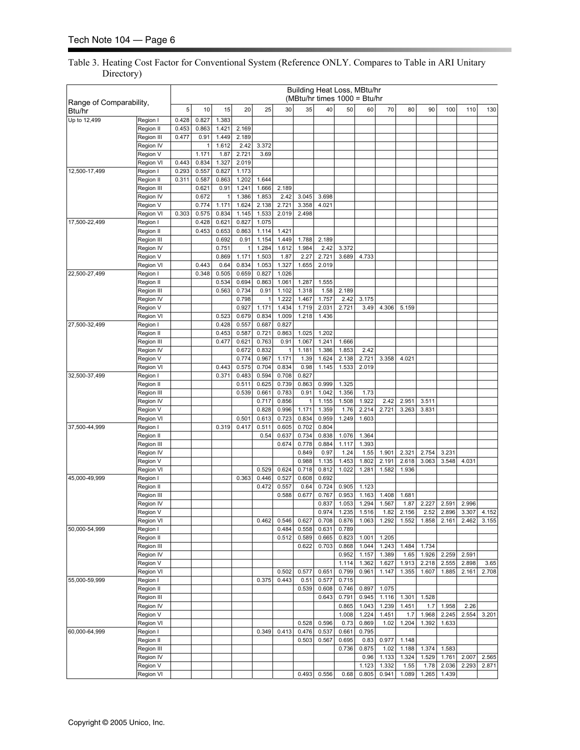#### Table 3. Heating Cost Factor for Conventional System (Reference ONLY. Compares to Table in ARI Unitary Directory)

|                                   |                         |                |                |                |                |                |                |                |                | Building Heat Loss, MBtu/hr<br>(MBtu/hr times $1000 = Btu/hr$ |                |                |                |                |                |       |       |
|-----------------------------------|-------------------------|----------------|----------------|----------------|----------------|----------------|----------------|----------------|----------------|---------------------------------------------------------------|----------------|----------------|----------------|----------------|----------------|-------|-------|
| Range of Comparability,<br>Btu/hr |                         | 5              | 10             | 15             | 20             | 25             | 30             | 35             | 40             | 50                                                            | 60             | 70             | 80             | 90             | 100            | 110   | 130   |
| Up to 12,499                      | Region I                | 0.428          | 0.827          | 1.383          |                |                |                |                |                |                                                               |                |                |                |                |                |       |       |
|                                   | Region II               | 0.453          | 0.863          | 1.421          | 2.169          |                |                |                |                |                                                               |                |                |                |                |                |       |       |
|                                   | Region III              | 0.477          | 0.91           | 1.449          | 2.189          |                |                |                |                |                                                               |                |                |                |                |                |       |       |
|                                   | Region IV               |                | $\mathbf{1}$   | 1.612          | 2.42           | 3.372          |                |                |                |                                                               |                |                |                |                |                |       |       |
|                                   | Region V                |                | 1.171          | 1.87           | 2.721          | 3.69           |                |                |                |                                                               |                |                |                |                |                |       |       |
| 12,500-17,499                     | Region VI<br>Region I   | 0.443<br>0.293 | 0.834<br>0.557 | 1.327<br>0.827 | 2.019<br>1.173 |                |                |                |                |                                                               |                |                |                |                |                |       |       |
|                                   | Region II               | 0.311          | 0.587          | 0.863          | 1.202          | 1.644          |                |                |                |                                                               |                |                |                |                |                |       |       |
|                                   | Region III              |                | 0.621          | 0.91           | 1.241          | 1.666          | 2.189          |                |                |                                                               |                |                |                |                |                |       |       |
|                                   | Region IV               |                | 0.672          | 1              | 1.386          | 1.853          | 2.42           | 3.045          | 3.698          |                                                               |                |                |                |                |                |       |       |
|                                   | Region V                |                | 0.774          | 1.171          | 1.624          | 2.138          | 2.721          | 3.358          | 4.021          |                                                               |                |                |                |                |                |       |       |
|                                   | Region VI               | 0.303          | 0.575          | 0.834          | 1.145          | 1.533          | 2.019          | 2.498          |                |                                                               |                |                |                |                |                |       |       |
| 17,500-22,499                     | Region I                |                | 0.428          | 0.621          | 0.827          | 1.075          |                |                |                |                                                               |                |                |                |                |                |       |       |
|                                   | Region II               |                | 0.453          | 0.653          | 0.863          | 1.114          | 1.421          |                |                |                                                               |                |                |                |                |                |       |       |
|                                   | Region III              |                |                | 0.692          | 0.91           | 1.154          | 1.449          | 1.788          | 2.189          |                                                               |                |                |                |                |                |       |       |
|                                   | Region IV               |                |                | 0.751          | 1              | 1.284          | 1.612          | 1.984          | 2.42           | 3.372                                                         |                |                |                |                |                |       |       |
|                                   | Region V                |                |                | 0.869          | 1.171          | 1.503          | 1.87           | 2.27           | 2.721          | 3.689                                                         | 4.733          |                |                |                |                |       |       |
|                                   | Region VI               |                | 0.443          | 0.64           | 0.834          | 1.053          | 1.327          | 1.655          | 2.019          |                                                               |                |                |                |                |                |       |       |
| 22,500-27,499                     | Region I                |                | 0.348          | 0.505          | 0.659          | 0.827          | 1.026          |                |                |                                                               |                |                |                |                |                |       |       |
|                                   | Region II               |                |                | 0.534          | 0.694          | 0.863          | 1.061          | 1.287          | 1.555          |                                                               |                |                |                |                |                |       |       |
|                                   | Region III              |                |                | 0.563          | 0.734          | 0.91           | 1.102          | 1.318          | 1.58           | 2.189                                                         |                |                |                |                |                |       |       |
|                                   | Region IV               |                |                |                | 0.798<br>0.927 | 1              | 1.222<br>1.434 | 1.467          | 1.757          | 2.42<br>2.721                                                 | 3.175          |                |                |                |                |       |       |
|                                   | Region V<br>Region VI   |                |                | 0.523          | 0.679          | 1.171<br>0.834 | 1.009          | 1.719<br>1.218 | 2.031<br>1.436 |                                                               | 3.49           | 4.306          | 5.159          |                |                |       |       |
| 27,500-32,499                     | Region I                |                |                | 0.428          | 0.557          | 0.687          | 0.827          |                |                |                                                               |                |                |                |                |                |       |       |
|                                   | Region II               |                |                | 0.453          | 0.587          | 0.721          | 0.863          | 1.025          | 1.202          |                                                               |                |                |                |                |                |       |       |
|                                   | Region III              |                |                | 0.477          | 0.621          | 0.763          | 0.91           | 1.067          | 1.241          | 1.666                                                         |                |                |                |                |                |       |       |
|                                   | Region IV               |                |                |                | 0.672          | 0.832          | $\mathbf{1}$   | 1.181          | 1.386          | 1.853                                                         | 2.42           |                |                |                |                |       |       |
|                                   | Region V                |                |                |                | 0.774          | 0.967          | 1.171          | 1.39           | 1.624          | 2.138                                                         | 2.721          | 3.358          | 4.021          |                |                |       |       |
|                                   | Region VI               |                |                | 0.443          | 0.575          | 0.704          | 0.834          | 0.98           | 1.145          | 1.533                                                         | 2.019          |                |                |                |                |       |       |
| 32,500-37,499                     | Region I                |                |                | 0.371          | 0.483          | 0.594          | 0.708          | 0.827          |                |                                                               |                |                |                |                |                |       |       |
|                                   | Region II               |                |                |                | 0.511          | 0.625          | 0.739          | 0.863          | 0.999          | 1.325                                                         |                |                |                |                |                |       |       |
|                                   | Region III              |                |                |                | 0.539          | 0.661          | 0.783          | 0.91           | 1.042          | 1.356                                                         | 1.73           |                |                |                |                |       |       |
|                                   | Region IV               |                |                |                |                | 0.717          | 0.856          | $\mathbf{1}$   | 1.155          | 1.508                                                         | 1.922          | 2.42           | 2.951          | 3.511          |                |       |       |
|                                   | Region V                |                |                |                |                | 0.828          | 0.996          | 1.171          | 1.359          | 1.76                                                          | 2.214          | 2.721          | 3.263          | 3.831          |                |       |       |
|                                   | Region VI               |                |                |                | 0.501          | 0.613          | 0.723          | 0.834          | 0.959          | 1.249                                                         | 1.603          |                |                |                |                |       |       |
| 37,500-44,999                     | Region I                |                |                | 0.319          | 0.417          | 0.511          | 0.605          | 0.702          | 0.804          |                                                               |                |                |                |                |                |       |       |
|                                   | Region II               |                |                |                |                | 0.54           | 0.637          | 0.734          | 0.838          | 1.076                                                         | 1.364          |                |                |                |                |       |       |
|                                   | Region III              |                |                |                |                |                | 0.674          | 0.778          | 0.884          | 1.117                                                         | 1.393          |                |                |                |                |       |       |
|                                   | Region IV<br>Region V   |                |                |                |                |                |                | 0.849<br>0.988 | 0.97<br>1.135  | 1.24<br>1.453                                                 | 1.55<br>1.802  | 1.901<br>2.191 | 2.321<br>2.618 | 2.754<br>3.063 | 3.231<br>3.548 | 4.031 |       |
|                                   | Region VI               |                |                |                |                | 0.529          | 0.624          | 0.718          | 0.812          | 1.022                                                         | 1.281          | 1.582          | 1.936          |                |                |       |       |
| 45,000-49,999                     | Region I                |                |                |                | 0.363          | 0.446          | 0.527          | 0.608          | 0.692          |                                                               |                |                |                |                |                |       |       |
|                                   | Region II               |                |                |                |                | 0.472          | 0.557          | 0.64           | 0.724          | 0.905                                                         | 1.123          |                |                |                |                |       |       |
|                                   | Region III              |                |                |                |                |                | 0.588          | 0.677          | 0.767          | 0.953                                                         | 1.163          | 1.408          | 1.681          |                |                |       |       |
|                                   | Region IV               |                |                |                |                |                |                |                | 0.837          | 1.053                                                         | 1.294          | 1.567          | 1.87           | 2.227          | 2.591          | 2.996 |       |
|                                   | Region V                |                |                |                |                |                |                |                | 0.974          | 1.235                                                         | 1.516          | 1.82           | 2.156          | 2.52           | 2.896          | 3.307 | 4.152 |
|                                   | Region VI               |                |                |                |                | 0.462          | 0.546          | 0.627          | 0.708          | 0.876                                                         | 1.063          | 1.292          | 1.552          | 1.858          | 2.161          | 2.462 | 3.155 |
| 50,000-54,999                     | Region I                |                |                |                |                |                | 0.484          | 0.558          | 0.631          | 0.789                                                         |                |                |                |                |                |       |       |
|                                   | Region II               |                |                |                |                |                | 0.512          | 0.589          | 0.665          | 0.823                                                         | 1.001          | 1.205          |                |                |                |       |       |
|                                   | Region III              |                |                |                |                |                |                | 0.622          | 0.703          | 0.868                                                         | 1.044          | 1.243          | 1.484          | 1.734          |                |       |       |
|                                   | Region IV               |                |                |                |                |                |                |                |                | 0.952                                                         | 1.157          | 1.389          | 1.65           | 1.926          | 2.259          | 2.591 |       |
|                                   | Region V                |                |                |                |                |                |                |                |                | 1.114                                                         | 1.362          | 1.627          | 1.913          | 2.218          | 2.555          | 2.898 | 3.65  |
|                                   | Region VI               |                |                |                |                |                | 0.502          | 0.577          | 0.651          | 0.799                                                         | 0.961          | 1.147          | 1.355          | 1.607          | 1.885          | 2.161 | 2.708 |
| 55,000-59,999                     | Region I                |                |                |                |                | 0.375          | 0.443          | 0.51           | 0.577          | 0.715                                                         |                |                |                |                |                |       |       |
|                                   | Region II               |                |                |                |                |                |                | 0.539          | 0.608          | 0.746                                                         | 0.897          | 1.075          |                |                |                |       |       |
|                                   | Region III<br>Region IV |                |                |                |                |                |                |                | 0.643          | 0.791<br>0.865                                                | 0.945<br>1.043 | 1.116<br>1.239 | 1.301<br>1.451 | 1.528<br>1.7   | 1.958          | 2.26  |       |
|                                   | Region V                |                |                |                |                |                |                |                |                | 1.008                                                         | 1.224          | 1.451          | 1.7            | 1.968          | 2.245          | 2.554 | 3.201 |
|                                   | Region VI               |                |                |                |                |                |                | 0.528          | 0.596          | 0.73                                                          | 0.869          | 1.02           | 1.204          | 1.392          | 1.633          |       |       |
| 60,000-64,999                     | Region I                |                |                |                |                | 0.349          | 0.413          | 0.476          | 0.537          | 0.661                                                         | 0.795          |                |                |                |                |       |       |
|                                   | Region II               |                |                |                |                |                |                | 0.503          | 0.567          | 0.695                                                         | 0.83           | 0.977          | 1.148          |                |                |       |       |
|                                   | Region III              |                |                |                |                |                |                |                |                | 0.736                                                         | 0.875          | 1.02           | 1.188          | 1.374          | 1.583          |       |       |
|                                   | Region IV               |                |                |                |                |                |                |                |                |                                                               | 0.96           | 1.133          | 1.324          | 1.529          | 1.761          | 2.007 | 2.565 |
|                                   | Region V                |                |                |                |                |                |                |                |                |                                                               | 1.123          | 1.332          | 1.55           | 1.78           | 2.036          | 2.293 | 2.871 |
|                                   | Region VI               |                |                |                |                |                |                | 0.493          | 0.556          | 0.68                                                          | 0.805          | 0.941          | 1.089          | 1.265          | 1.439          |       |       |